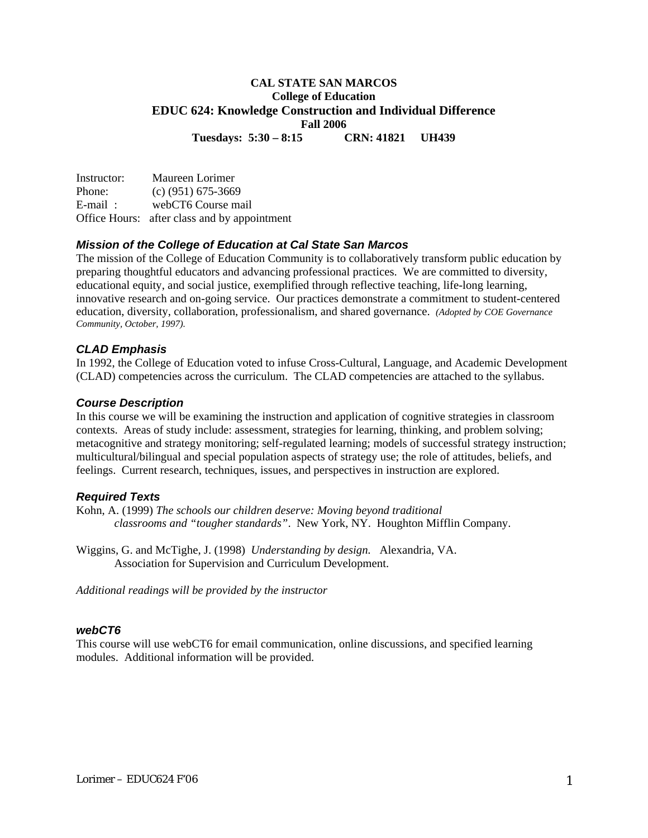## **CAL STATE SAN MARCOS College of Education EDUC 624: Knowledge Construction and Individual Difference Fall 2006**

**Tuesdays: 5:30 – 8:15 CRN: 41821 UH439** 

Instructor: Maureen Lorimer Phone: (c) (951) 675-3669 E-mail: webCT6 Course mail Office Hours: after class and by appointment

### *Mission of the College of Education at Cal State San Marcos*

The mission of the College of Education Community is to collaboratively transform public education by preparing thoughtful educators and advancing professional practices. We are committed to diversity, educational equity, and social justice, exemplified through reflective teaching, life-long learning, innovative research and on-going service. Our practices demonstrate a commitment to student-centered education, diversity, collaboration, professionalism, and shared governance. *(Adopted by COE Governance Community, October, 1997).* 

### *CLAD Emphasis*

In 1992, the College of Education voted to infuse Cross-Cultural, Language, and Academic Development (CLAD) competencies across the curriculum. The CLAD competencies are attached to the syllabus.

#### *Course Description*

In this course we will be examining the instruction and application of cognitive strategies in classroom contexts. Areas of study include: assessment, strategies for learning, thinking, and problem solving; metacognitive and strategy monitoring; self-regulated learning; models of successful strategy instruction; multicultural/bilingual and special population aspects of strategy use; the role of attitudes, beliefs, and feelings. Current research, techniques, issues, and perspectives in instruction are explored.

### *Required Texts*

Kohn, A. (1999) *The schools our children deserve: Moving beyond traditional classrooms and "tougher standards"*. New York, NY. Houghton Mifflin Company.

Wiggins, G. and McTighe, J. (1998) *Understanding by design.* Alexandria, VA. Association for Supervision and Curriculum Development.

*Additional readings will be provided by the instructor* 

### *webCT6*

This course will use webCT6 for email communication, online discussions, and specified learning modules. Additional information will be provided.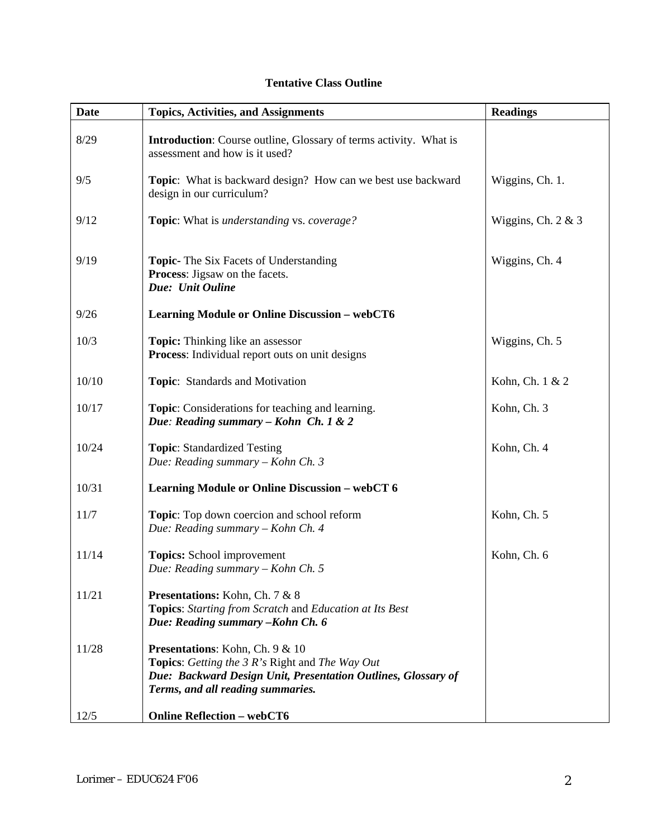| <b>Date</b> | <b>Topics, Activities, and Assignments</b>                                                                                                                                                             | <b>Readings</b>    |
|-------------|--------------------------------------------------------------------------------------------------------------------------------------------------------------------------------------------------------|--------------------|
| 8/29        | <b>Introduction:</b> Course outline, Glossary of terms activity. What is<br>assessment and how is it used?                                                                                             |                    |
| 9/5         | <b>Topic:</b> What is backward design? How can we best use backward<br>design in our curriculum?                                                                                                       | Wiggins, Ch. 1.    |
| 9/12        | <b>Topic:</b> What is <i>understanding</i> vs. <i>coverage?</i>                                                                                                                                        | Wiggins, Ch. 2 & 3 |
| 9/19        | <b>Topic-</b> The Six Facets of Understanding<br>Process: Jigsaw on the facets.<br>Due: Unit Ouline                                                                                                    | Wiggins, Ch. 4     |
| 9/26        | <b>Learning Module or Online Discussion - webCT6</b>                                                                                                                                                   |                    |
| 10/3        | Topic: Thinking like an assessor<br>Process: Individual report outs on unit designs                                                                                                                    | Wiggins, Ch. 5     |
| 10/10       | Topic: Standards and Motivation                                                                                                                                                                        | Kohn, Ch. 1 & 2    |
| 10/17       | <b>Topic:</b> Considerations for teaching and learning.<br>Due: Reading summary - Kohn Ch. 1 & 2                                                                                                       | Kohn, Ch. 3        |
| 10/24       | <b>Topic:</b> Standardized Testing<br>Due: Reading summary - Kohn Ch. 3                                                                                                                                | Kohn, Ch. 4        |
| 10/31       | <b>Learning Module or Online Discussion - webCT 6</b>                                                                                                                                                  |                    |
| 11/7        | Topic: Top down coercion and school reform<br>Due: Reading summary - Kohn Ch. 4                                                                                                                        | Kohn, Ch. 5        |
| 11/14       | Topics: School improvement<br>Due: Reading summary - Kohn Ch. 5                                                                                                                                        | Kohn, Ch. 6        |
| 11/21       | Presentations: Kohn, Ch. 7 & 8<br><b>Topics:</b> Starting from Scratch and Education at Its Best<br>Due: Reading summary - Kohn Ch. 6                                                                  |                    |
| 11/28       | <b>Presentations:</b> Kohn, Ch. 9 & 10<br><b>Topics:</b> Getting the 3 R's Right and The Way Out<br>Due: Backward Design Unit, Presentation Outlines, Glossary of<br>Terms, and all reading summaries. |                    |
| 12/5        | <b>Online Reflection - webCT6</b>                                                                                                                                                                      |                    |

# **Tentative Class Outline**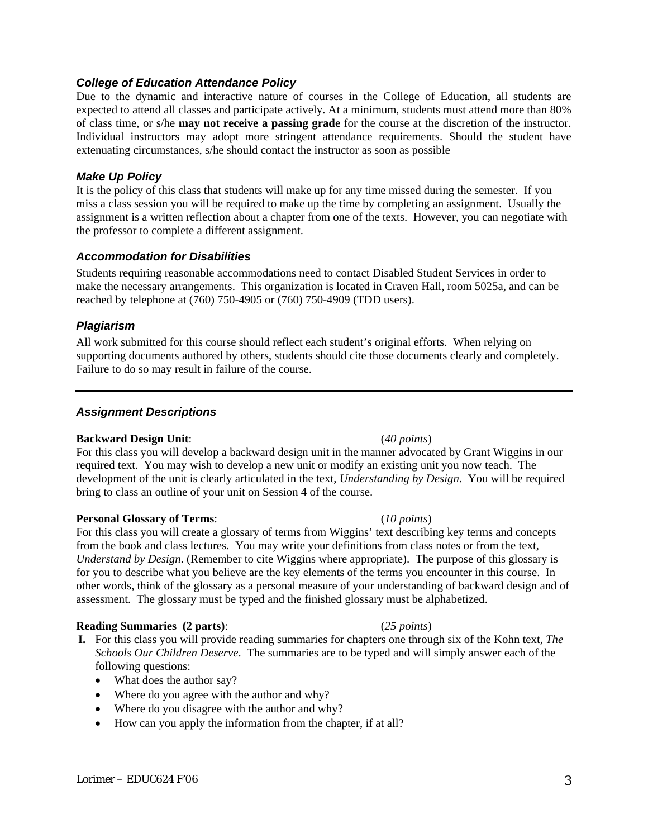### *College of Education Attendance Policy*

Due to the dynamic and interactive nature of courses in the College of Education, all students are expected to attend all classes and participate actively. At a minimum, students must attend more than 80% of class time, or s/he **may not receive a passing grade** for the course at the discretion of the instructor. Individual instructors may adopt more stringent attendance requirements. Should the student have extenuating circumstances, s/he should contact the instructor as soon as possible

### *Make Up Policy*

It is the policy of this class that students will make up for any time missed during the semester. If you miss a class session you will be required to make up the time by completing an assignment. Usually the assignment is a written reflection about a chapter from one of the texts. However, you can negotiate with the professor to complete a different assignment.

### *Accommodation for Disabilities*

Students requiring reasonable accommodations need to contact Disabled Student Services in order to make the necessary arrangements. This organization is located in Craven Hall, room 5025a, and can be reached by telephone at (760) 750-4905 or (760) 750-4909 (TDD users).

### *Plagiarism*

All work submitted for this course should reflect each student's original efforts. When relying on supporting documents authored by others, students should cite those documents clearly and completely. Failure to do so may result in failure of the course.

### *Assignment Descriptions*

### **Backward Design Unit**: (*40 points*)

For this class you will develop a backward design unit in the manner advocated by Grant Wiggins in our required text. You may wish to develop a new unit or modify an existing unit you now teach. The development of the unit is clearly articulated in the text, *Understanding by Design*. You will be required bring to class an outline of your unit on Session 4 of the course.

### **Personal Glossary of Terms**: (*10 points*)

For this class you will create a glossary of terms from Wiggins' text describing key terms and concepts from the book and class lectures. You may write your definitions from class notes or from the text, *Understand by Design*. (Remember to cite Wiggins where appropriate). The purpose of this glossary is for you to describe what you believe are the key elements of the terms you encounter in this course. In other words, think of the glossary as a personal measure of your understanding of backward design and of assessment. The glossary must be typed and the finished glossary must be alphabetized.

### **Reading Summaries (2 parts)**: (*25 points*)

- **I.** For this class you will provide reading summaries for chapters one through six of the Kohn text, *The Schools Our Children Deserve*. The summaries are to be typed and will simply answer each of the following questions:
	- What does the author say?
	- Where do you agree with the author and why?
	- Where do you disagree with the author and why?
	- How can you apply the information from the chapter, if at all?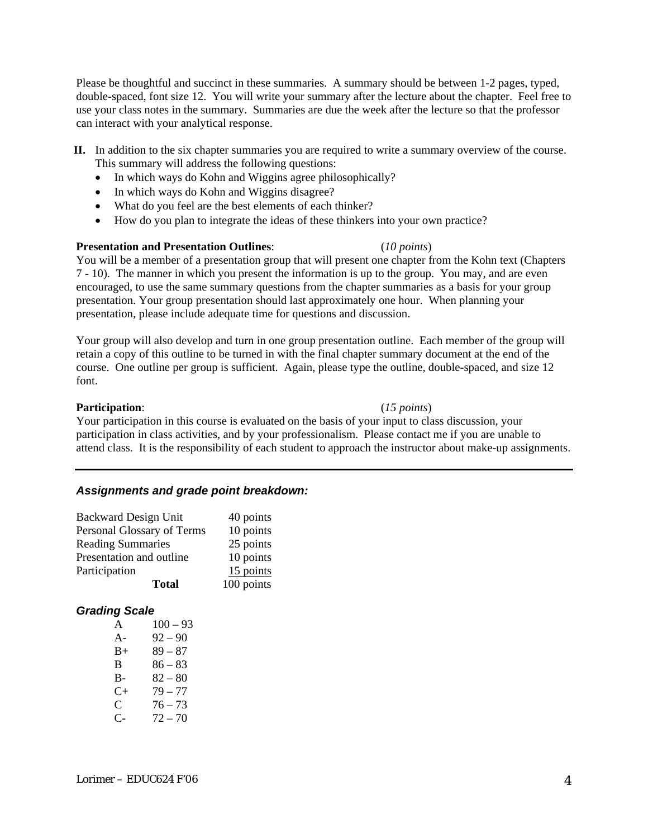Please be thoughtful and succinct in these summaries. A summary should be between 1-2 pages, typed, double-spaced, font size 12. You will write your summary after the lecture about the chapter. Feel free to use your class notes in the summary. Summaries are due the week after the lecture so that the professor can interact with your analytical response.

- **II.** In addition to the six chapter summaries you are required to write a summary overview of the course. This summary will address the following questions:
	- In which ways do Kohn and Wiggins agree philosophically?
	- In which ways do Kohn and Wiggins disagree?
	- What do you feel are the best elements of each thinker?
	- How do you plan to integrate the ideas of these thinkers into your own practice?

## **Presentation and Presentation Outlines**: (*10 points*)

You will be a member of a presentation group that will present one chapter from the Kohn text (Chapters 7 - 10). The manner in which you present the information is up to the group. You may, and are even encouraged, to use the same summary questions from the chapter summaries as a basis for your group presentation. Your group presentation should last approximately one hour. When planning your presentation, please include adequate time for questions and discussion.

Your group will also develop and turn in one group presentation outline. Each member of the group will retain a copy of this outline to be turned in with the final chapter summary document at the end of the course. One outline per group is sufficient. Again, please type the outline, double-spaced, and size 12 font.

## **Participation**: (*15 points*)

Your participation in this course is evaluated on the basis of your input to class discussion, your participation in class activities, and by your professionalism. Please contact me if you are unable to attend class. It is the responsibility of each student to approach the instructor about make-up assignments.

# *Assignments and grade point breakdown:*

| <b>Backward Design Unit</b> | 40 points  |
|-----------------------------|------------|
| Personal Glossary of Terms  | 10 points  |
| <b>Reading Summaries</b>    | 25 points  |
| Presentation and outline    | 10 points  |
| Participation               | 15 points  |
| <b>Total</b>                | 100 points |

# *Grading Scale*

| A         | $100 - 93$ |
|-----------|------------|
| $A-$      | $92 - 90$  |
| $B+$      | $89 - 87$  |
| B         | $86 - 83$  |
| B-        | $82 - 80$  |
| $C_{\pm}$ | $79 - 77$  |
| C         | $76 - 73$  |
| C-        | $72 - 70$  |
|           |            |